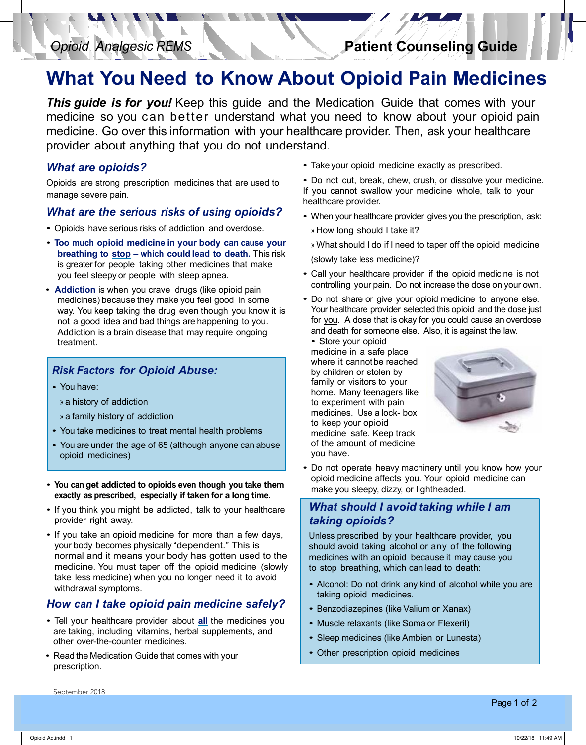**Patient Counseling Guide** *Opioid Analgesic REMS* **Patient Counseling Guide Patient Counseling Guidebury 1999 / Patient Counseling Guidebury 1999 / Patient Counseling Guidebury 1999 / Patient Counseling Guidebury 1999 / Patient Counseling Guidebury 1999 / Patient Counseling Guidebury 1999 / Patie** *Opioid Analgesic REMS* **Patient Counseling Guide** *Opioid Analgesic REMS* **Patient Counseling Guide** *Opioid Analgesic REMS* **Patient Counseling Guide**

#### *What You Need to Know my pain? Where can I get naloxone?* vat oprofa r am modionico *What other options are there to help with my pain? Where can I get naloxone?* **What You Need to Know About Opioid Pain Medicines** people to use in their home. *my pain? Where can I get naloxone?* boat opioid i am modionio *What other options are there to help with my pain? Where can I get naloxone?* bout Opioid Pain Medicine people to use in their home. *What other options are there to help with my pain? Where can I get naloxone?* • There are some naloxone products that are designed for **What You Need to Know About Opioid Pain Medicines** people to use in their home.

his guide is for you! Keep this guide and the Medication Guide that medicine so you can better understand what you need to know about your opioid pain  $\delta$  helped with a non-operation,  $\delta$   $\delta$   $\delta$   $\delta$   $\delta$   $\delta$  therapy,  $\delta$  is the medical therapy,  $\delta$ exercise, of over the information with your rovider about anytnin provider about the some state of the get name states, and the some states of the some states, and in some states, and in some states, and in some states, and in some states, and in some states, and in some states, and in s medicine. Go over this information with your healthcare provider. Then, ask  $\mathsf{and}$ , read the pharmacy, read the pharmacy, read the pharmacy, read the pharmacy, read the pharmacy, read the pharmacy,  $\mathsf{and}$ This guide is for you! Keep this guide and the Medication Guide that comes with your  $p_0$  den skeut seuthig extending the when your name from the pharmaceutic from the pharmaceutic from the pharmaceutic from the pharmaceutic from the pharmaceutic from the pharmaceutic from the pharmaceutic from the pharmaceutic from the pharmace **Patient Information**  $\mathbf{P}$ exercise, or over ans information with you provider about anything that you do not understand. provider about the state of the state states, which is a state state of the state state states, and it is a state state state of the state state state states, and it is a state state state of the state state state states, medicine. Go over this information with your healthcare provider. Then, ask your healthcare This guide is for you! Keep this guide and the Medication Guide that comes with your provider about anything that you do not understand. **Patient Information** on  $\mathbf{P}$ This guide is for you! Keep this guide and the Medication Guide that comes with your when you can also you get you are pharmacy.<br>tand **Patient Information** Information on how to use national and ask the use national ask the use national ask the use of the use of the use of the use of the use of the use of the use of the use of the use of the use of the u

#### /hat are opioids? *What is naloxone? What are opioids What is naloxone? What is naloxone? What are opioids?*

pioids are strong prescription medicines that are used to manage severe pain.  $\frac{1}{2}$ Opioids are strong prescription medicines that are used to • Use naloxone if you have it and call 911 or go to the • The transposed is a medicine that the used to Opiolas are strong prescription infected ites that are • Use of your have it and call 911or go to the internal 911or go to the internal 911or go to the internal 911or<br>The internal 911or go to the internal 911or go to the internal 911or go to the internal 911or go to the intern **• Native is expressed.**<br>Opioide are streats preserintien, medicines that are used to Opioids are strong prescription medicines that are used to  $\frac{1}{2}$ 

#### /hat are the serious risks of using opioids? What are the serious risks of using opioids What are the serious ri *What are the serious risks of using opioids?*

- Opioids have serious risks of addiction and overdose. - You or some else has taken and opioid medicine.
- much opiold medicine in your body can cause your atning to <u>stop</u> – v you feel sleepy or people with sleep apnea. and is having trouble breather of breather of the breath of the breath, or some electrical medicines in the state of the state of the state of the state of the state of the state of the state of the state of the state of t  $int$ is unusu $int$ other sleepy  $\frac{1}{2}$ is greater for people taking other medicines that make Too much opiold medicine in your body can cause you preathing to stop - Too much opioid medicine in your body can cause your **breathing to stop** – which could lead to death. This risk
- Addiction is when you crave drugs (like opioid pain • Addiction is when you crave drugs (like opioid pain<br>medicines) because they make you feel good in some the medicine of booddoo they make you look good in oome *Naloxone is never a substitute for*  Addiction is a brain disease that may require ongoing<br>treatment. *emergency medical care. Always call Naloxone is never a substitute for Naloxone is never a substitute for Naloxone is never a substitute for*  treatment. *emergency medical care. Always call emergency medical care. Always call*  not a good idea and bad things are happening to you.

## *emergency medical care. Always call <i>911 or go to the emergency respectively.* **911 Prints Factors for Opioid Abuse:** *you've used or given naloxone. PRISK FACTORS TOF OPTOIG ADUSE: 911 or go to the emergency room if 911 or go to the emergency room if Risk Factors for Opioid Abuse:*

- *you've used or given naloxone. you've used orgiven naloxone. you've used orgiven naloxone. you've used or given naloxone.* • You have:
	- » a history of addiction

**Dosing instructions:**

**Dosing instructions:**

**Dosing instructions:**

- 
- 
- For the measure of the Medicine said. Read the Medicine for the Medication of the Medicine, which is medicine, which is medicine, which is medicine, which is medicine, which is medicine, which is medicine, which is medicin ou die dinast the age of oo (dithough drive  $\bullet$  Do not about the member of  $\bullet$  Do not opioid  $\bullet$ • You are under the age of 65 (although anyone can abuse of the amount of medicine  $\frac{1}{2}$  which is a vector  $\frac{1}{2}$  of the amount of medicine popioid medicines) and the contract of the contract of the contract of the contract of the contract of the contract of the contract of the contract of the contract of the contract of the contract of the contract of the con increase the discrete provided by your provided by your pharmacy. • Remember this other important information about your opioid medicine: • You are under the age of 65 (although anyone can abuse
- **Dosing instructions: Dosing instructions: You can get addicted to opioids even though you take them**  exactly as prescribed, especially if taken for a long time.
- If you think you might be addicted, talk to your healthcare provider right away.
- *What if I have more questions? What if I have more questions?* your body becomes physically "dependent." This is normal and it means your body has gotten used to the  $\vert$  medicines with an opioid because it may cause you  $\vert$ ieaicine. Y rake less medicine) when you no longer need it to avoid<br>withdrawal symptoms views you are. • If you take an opioid medicine for more than a few days, your body becomes privalently dependent. This is<br>normal and it means your body has gotten used to the medicines with an opioid because it may cause you onnarana<br>Indicine. Y take less medicine) when you no longer need it to avoid withdrawal symptoms.<br>taking o medicin  $\frac{a}{b}$  withdrawal symptoms medicine. medicine. medicine. You must taper off the opioid medicine (slowly take less medicine) when you no longer need it to avoid

# **How can I take opioid pain medicine safely?**  $\begin{array}{|c|c|c|c|}\n\hline\n\text{Hermon} & \text{Bermon} \end{array}$

- Tell your healthcare provider about **all** the medicines you are taking, including vitamins, herbal supplements, and other over-the-counter medicines.
- Read the Medication Guide that comes with your prescription.
- **Patient Information** on how to use naloxone and ask the ik your opiold including exactly • Take vour opioid, medicine exactly as prescribed. parameter including that • Take your opioid medicine exactly as prescribed.
- bo hot cut, break, chew, crush, or dissolve your medicine.<br>Vou cannot swallow your modicine whole, talk to your where an interest to your find the whole, talk to your Do not cut, break, chew, crush, or dissolve your medicine. where an example where who can get to it is in an emanue of the control of the control of the can get the control of the control of the control of the control of the control of the control of the control of the control of • Do not cut, break, cnew, crush, or dissolve your medicine<br>If you cannot swallow your modicine whole, talk to your m you cannot swanow your medicine whole, take to y • Do not cut, break, chew, crush, or dissolve your medicine. If you cannot swallow your medicine whole, talk to your healthcare provider.
	- When your healthcare provider gives you the prescription, ask:
	- » How long should I take it?
	- When  $\frac{1}{2}$  oppoint the medicine,  $\frac{1}{2}$ **dispose of it is assigned. The equipment in the food and integral**  $\alpha$  **and**  $\beta$  **and**  $\alpha$  **and**  $\beta$  **and**  $\alpha$  **and**  $\beta$  **and**  $\alpha$  **and**  $\beta$  **and**  $\alpha$  **and**  $\beta$  **and**  $\alpha$  **and**  $\alpha$  **and**  $\alpha$  **and**  $\alpha$  **and**  $\alpha$  **and**  $\alpha$  **and**  $\alpha$  **and \ dispose of it as quickly as possible. The Food and Drug Administration recommends to the most opioid integration When you no longer need your opioid medicine, b** what should I do it I need to taper oil the opiold frie with the possible of the sold in the Food to taper off the epipid me **Drug Administration recommends to the most opioid** into the most opioid  $\frac{1}{2}$ **dispose of it as quickly as possible. The Food and**  » What should I do if I need to taper off the opioid medicine

(slowly take less medicine)?

- Call your healthcare provider if the opioid medicine is not controlling your pain. Do not increase the dose on your own.
- . Do not share or give your opioid medicine to anyone else. Your healthcare provider selected this opioid and the dose just for you. A dose that is okay for you could cause an overdose and death for someone else. Also, it is against the law.

**Example 1 a** family history of addiction **and the control of the control of the control of the control of the control of the control of the control of the control of the control of the control of the control of the cont** • Store your opioid medicine in a safe place where it cannotbe reached by children or stolen by family or visitors to your home. Many teenagers like to experiment with pain medicines. Use a lock- box to keep your opioid medicine safe. Keep track of the amount of medicine you have.



• Do not operate heavy machinery until you know how your opioid medicine affects you. Your opioid medicine can make you sleepy, dizzy, or lightheaded.

# *What should I avoid taking while I am taking opioids?*

Unless prescribed by your healthcare provider, you should avoid taking alcohol or any of the following to stop breathing, which can lead to death:

- taking opioid medicines.
- Benzodiazepines (like Valium or Xanax)
- Muscle relaxants (like Soma or Flexeril)
- Sleep medicines (like Ambien or Lunesta)
- Other prescription opioid medicines